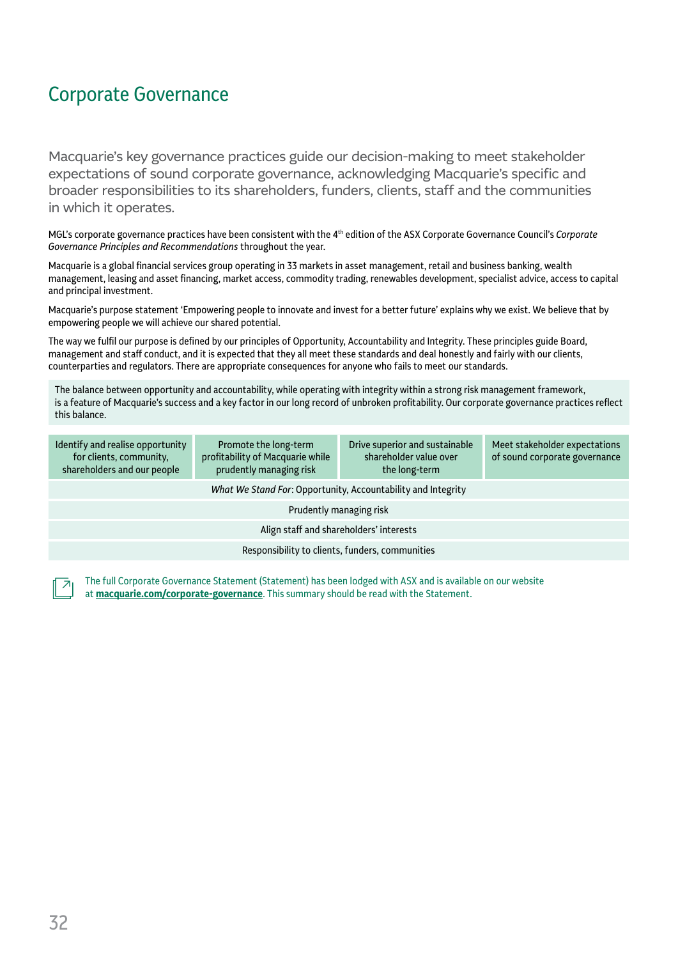Macquarie's key governance practices guide our decision-making to meet stakeholder expectations of sound corporate governance, acknowledging Macquarie's specific and broader responsibilities to its shareholders, funders, clients, staff and the communities in which it operates.

MGL's corporate governance practices have been consistent with the 4th edition of the ASX Corporate Governance Council's *Corporate Governance Principles and Recommendations* throughout the year.

Macquarie is a global financial services group operating in 33 markets in asset management, retail and business banking, wealth management, leasing and asset financing, market access, commodity trading, renewables development, specialist advice, access to capital and principal investment.

Macquarie's purpose statement 'Empowering people to innovate and invest for a better future' explains why we exist. We believe that by empowering people we will achieve our shared potential.

The way we fulfil our purpose is defined by our principles of Opportunity, Accountability and Integrity. These principles guide Board, management and staff conduct, and it is expected that they all meet these standards and deal honestly and fairly with our clients, counterparties and regulators. There are appropriate consequences for anyone who fails to meet our standards.

The balance between opportunity and accountability, while operating with integrity within a strong risk management framework, is a feature of Macquarie's success and a key factor in our long record of unbroken profitability. Our corporate governance practices reflect this balance.

| Promote the long-term<br>profitability of Macquarie while<br>prudently managing risk | Drive superior and sustainable<br>shareholder value over<br>the long-term | Meet stakeholder expectations<br>of sound corporate governance |  |  |
|--------------------------------------------------------------------------------------|---------------------------------------------------------------------------|----------------------------------------------------------------|--|--|
| What We Stand For: Opportunity, Accountability and Integrity                         |                                                                           |                                                                |  |  |
| Prudently managing risk                                                              |                                                                           |                                                                |  |  |
| Align staff and shareholders' interests                                              |                                                                           |                                                                |  |  |
| Responsibility to clients, funders, communities                                      |                                                                           |                                                                |  |  |
|                                                                                      |                                                                           |                                                                |  |  |

The full Corporate Governance Statement (Statement) has been lodged with ASX and is available on our website at **[macquarie.com/corporat](https://www.macquarie.com/about/company/corporate-governance.html)e-governance**. This summary should be read with the Statement.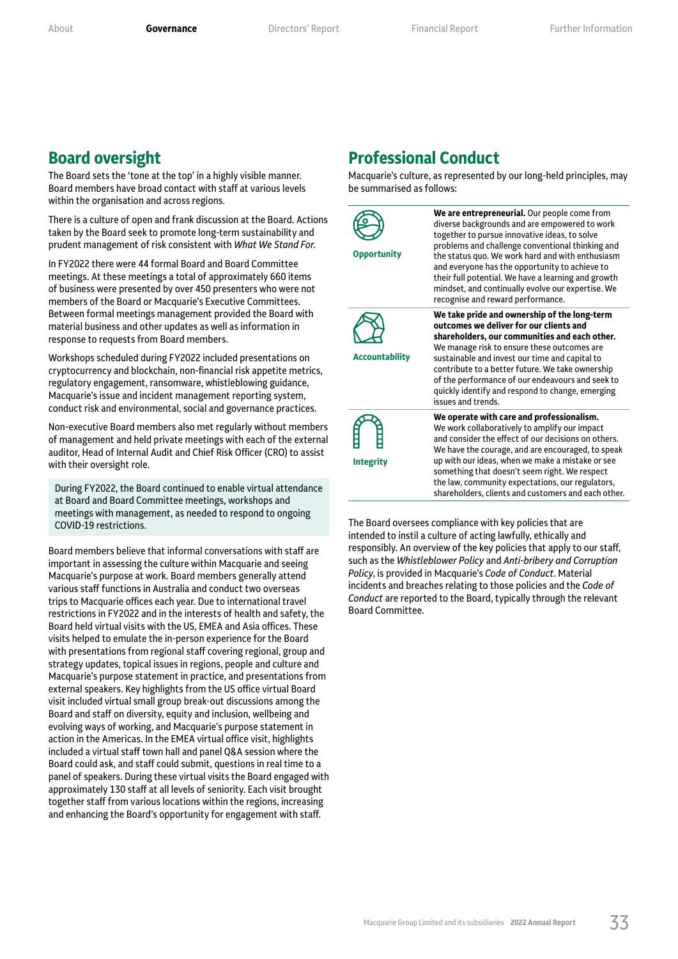### **Board oversight**

The Board sets the 'tone at the top' in a highly visible manner. Board members have broad contact with staff at various levels within the organisation and across regions.

There is a culture of open and frank discussion at the Board. Actions taken by the Board seek to promote long-term sustainability and prudent management of risk consistent with *What We Stand For*.

In FY2022 there were 44 formal Board and Board Committee meetings. At these meetings a total of approximately 660 items of business were presented by over 450 presenters who were not members of the Board or Macquarie's Executive Committees. Between formal meetings management provided the Board with material business and other updates as well as information in response to requests from Board members.

Workshops scheduled during FY2022 included presentations on cryptocurrency and blockchain, non-financial risk appetite metrics, regulatory engagement, ransomware, whistleblowing guidance, Macquarie's issue and incident management reporting system, conduct risk and environmental, social and governance practices.

Non-executive Board members also met regularly without members of management and held private meetings with each of the external auditor, Head of Internal Audit and Chief Risk Officer (CRO) to assist with their oversight role.

During FY2022, the Board continued to enable virtual attendance at Board and Board Committee meetings, workshops and meetings with management, as needed to respond to ongoing COVID-19 restrictions.

Board members believe that informal conversations with staff are important in assessing the culture within Macquarie and seeing Macquarie's purpose at work. Board members generally attend various staff functions in Australia and conduct two overseas trips to Macquarie offices each year. Due to international travel restrictions in FY2022 and in the interests of health and safety, the Board held virtual visits with the US, EMEA and Asia offices. These visits helped to emulate the in-person experience for the Board with presentations from regional staff covering regional, group and strategy updates, topical issues in regions, people and culture and Macquarie's purpose statement in practice, and presentations from external speakers. Key highlights from the US office virtual Board visit included virtual small group break-out discussions among the Board and staff on diversity, equity and inclusion, wellbeing and evolving ways of working, and Macquarie's purpose statement in action in the Americas. In the EMEA virtual office visit, highlights included a virtual staff town hall and panel Q&A session where the Board could ask, and staff could submit, questions in real time to a panel of speakers. During these virtual visits the Board engaged with approximately 130 staff at all levels of seniority. Each visit brought together staff from various locations within the regions, increasing and enhancing the Board's opportunity for engagement with staff.

### **Professional Conduct**

Macquarie's culture, as represented by our long-held principles, may be summarised as follows:



**We are entrepreneurial.** Our people come from diverse backgrounds and are empowered to work together to pursue innovative ideas, to solve problems and challenge conventional thinking and the status quo. We work hard and with enthusiasm and everyone has the opportunity to achieve to their full potential. We have a learning and growth mindset, and continually evolve our expertise. We recognise and reward performance. **We take pride and ownership of the long-term** 



**Accountability**

**outcomes we deliver for our clients and shareholders, our communities and each other.**  We manage risk to ensure these outcomes are sustainable and invest our time and capital to contribute to a better future. We take ownership of the performance of our endeavours and seek to quickly identify and respond to change, emerging issues and trends.



**We operate with care and professionalism.**  We work collaboratively to amplify our impact and consider the effect of our decisions on others. We have the courage, and are encouraged, to speak up with our ideas, when we make a mistake or see something that doesn't seem right. We respect the law, community expectations, our regulators, shareholders, clients and customers and each other.

The Board oversees compliance with key policies that are intended to instil a culture of acting lawfully, ethically and responsibly. An overview of the key policies that apply to our staff, such as the *Whistleblower Policy* and *Anti-bribery and Corruption Policy*, is provided in Macquarie's *Code of Conduct*. Material incidents and breaches relating to those policies and the *Code of Conduct* are reported to the Board, typically through the relevant Board Committee.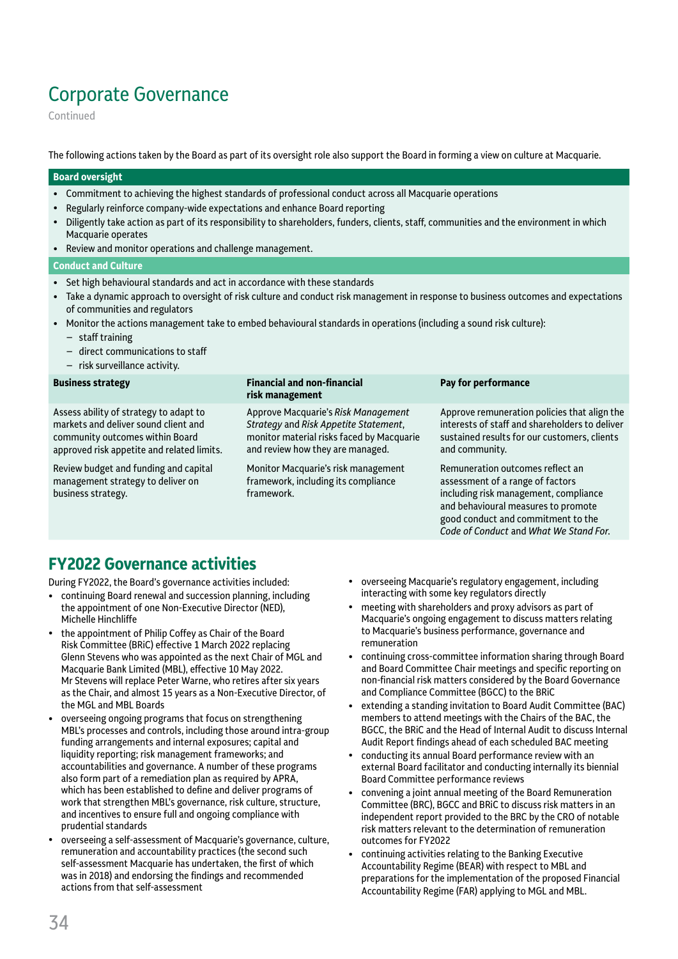Continued

The following actions taken by the Board as part of its oversight role also support the Board in forming a view on culture at Macquarie.

#### **Board oversight**

- Commitment to achieving the highest standards of professional conduct across all Macquarie operations
- Regularly reinforce company-wide expectations and enhance Board reporting
- Diligently take action as part of its responsibility to shareholders, funders, clients, staff, communities and the environment in which Macquarie operates
- Review and monitor operations and challenge management.

#### **Conduct and Culture**

- Set high behavioural standards and act in accordance with these standards
- Take a dynamic approach to oversight of risk culture and conduct risk management in response to business outcomes and expectations of communities and regulators
- Monitor the actions management take to embed behavioural standards in operations (including a sound risk culture):
	- staff training
	- direct communications to staff
	- risk surveillance activity.

| <b>Business strategy</b>                                                                                                                                        | <b>Financial and non-financial</b><br>risk management                                                                                                         | Pay for performance                                                                                                                                                                        |
|-----------------------------------------------------------------------------------------------------------------------------------------------------------------|---------------------------------------------------------------------------------------------------------------------------------------------------------------|--------------------------------------------------------------------------------------------------------------------------------------------------------------------------------------------|
| Assess ability of strategy to adapt to<br>markets and deliver sound client and<br>community outcomes within Board<br>approved risk appetite and related limits. | Approve Macquarie's Risk Management<br>Strategy and Risk Appetite Statement,<br>monitor material risks faced by Macquarie<br>and review how they are managed. | Approve remuneration policies that align the<br>interests of staff and shareholders to deliver<br>sustained results for our customers, clients<br>and community.                           |
| Review budget and funding and capital<br>management strategy to deliver on<br>business strategy.                                                                | Monitor Macquarie's risk management<br>framework, including its compliance<br>framework.                                                                      | Remuneration outcomes reflect an<br>assessment of a range of factors<br>including risk management, compliance<br>and behavioural measures to promote<br>good conduct and commitment to the |

## **FY2022 Governance activities**

During FY2022, the Board's governance activities included:

- continuing Board renewal and succession planning, including the appointment of one Non-Executive Director (NED), Michelle Hinchliffe
- the appointment of Philip Coffey as Chair of the Board Risk Committee (BRiC) effective 1 March 2022 replacing Glenn Stevens who was appointed as the next Chair of MGL and Macquarie Bank Limited (MBL), effective 10 May 2022. Mr Stevens will replace Peter Warne, who retires after six years as the Chair, and almost 15 years as a Non-Executive Director, of the MGL and MBL Boards
- overseeing ongoing programs that focus on strengthening MBL's processes and controls, including those around intra-group funding arrangements and internal exposures; capital and liquidity reporting; risk management frameworks; and accountabilities and governance. A number of these programs also form part of a remediation plan as required by APRA, which has been established to define and deliver programs of work that strengthen MBL's governance, risk culture, structure, and incentives to ensure full and ongoing compliance with prudential standards
- overseeing a self-assessment of Macquarie's governance, culture, remuneration and accountability practices (the second such self-assessment Macquarie has undertaken, the first of which was in 2018) and endorsing the findings and recommended actions from that self-assessment
- overseeing Macquarie's regulatory engagement, including interacting with some key regulators directly
- meeting with shareholders and proxy advisors as part of Macquarie's ongoing engagement to discuss matters relating to Macquarie's business performance, governance and remuneration

Code of Conduct and What We Stand For.

- continuing cross‑committee information sharing through Board and Board Committee Chair meetings and specific reporting on non‑financial risk matters considered by the Board Governance and Compliance Committee (BGCC) to the BRiC
- extending a standing invitation to Board Audit Committee (BAC) members to attend meetings with the Chairs of the BAC, the BGCC, the BRiC and the Head of Internal Audit to discuss Internal Audit Report findings ahead of each scheduled BAC meeting
- conducting its annual Board performance review with an external Board facilitator and conducting internally its biennial Board Committee performance reviews
- convening a joint annual meeting of the Board Remuneration Committee (BRC), BGCC and BRiC to discuss risk matters in an independent report provided to the BRC by the CRO of notable risk matters relevant to the determination of remuneration outcomes for FY2022
- continuing activities relating to the Banking Executive Accountability Regime (BEAR) with respect to MBL and preparations for the implementation of the proposed Financial Accountability Regime (FAR) applying to MGL and MBL.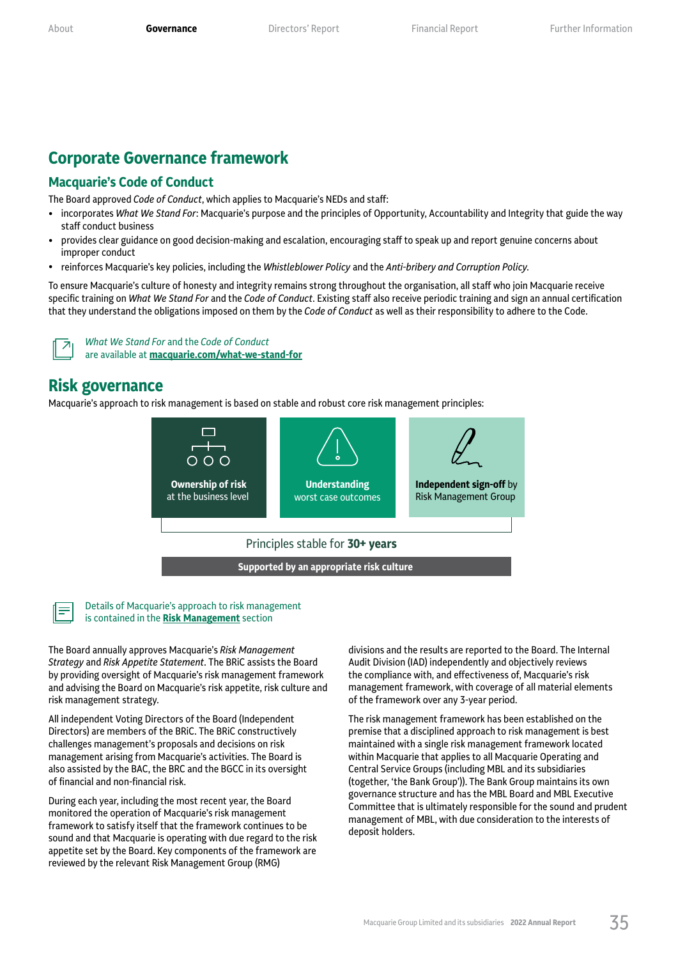## **Corporate Governance framework**

#### **Macquarie's Code of Conduct**

The Board approved *Code of Conduct*, which applies to Macquarie's NEDs and staff:

- incorporates *What We Stand For*: Macquarie's purpose and the principles of Opportunity, Accountability and Integrity that guide the way staff conduct business
- provides clear guidance on good decision-making and escalation, encouraging staff to speak up and report genuine concerns about improper conduct
- reinforces Macquarie's key policies, including the *Whistleblower Policy* and the *Anti-bribery and Corruption Policy*.

To ensure Macquarie's culture of honesty and integrity remains strong throughout the organisation, all staff who join Macquarie receive specific training on *What We Stand For* and the *Code of Conduct*. Existing staff also receive periodic training and sign an annual certification that they understand the obligations imposed on them by the *Code of Conduct* as well as their responsibility to adhere to the Code.



*What We Stand For* and the *Code of Conduct* are available at **[macquarie.com/wha](https://www.macquarie.com/about/what-we-stand-for.html)t-we-stand-for**

### **Risk governance**

Macquarie's approach to risk management is based on stable and robust core risk management principles:





#### Details of Macquarie's approach to risk management is contained in the **[Risk Management](#page--1-3)** section

The Board annually approves Macquarie's *Risk Management Strategy* and *Risk Appetite Statement*. The BRiC assists the Board by providing oversight of Macquarie's risk management framework and advising the Board on Macquarie's risk appetite, risk culture and risk management strategy.

All independent Voting Directors of the Board (Independent Directors) are members of the BRiC. The BRiC constructively challenges management's proposals and decisions on risk management arising from Macquarie's activities. The Board is also assisted by the BAC, the BRC and the BGCC in its oversight of financial and non‑financial risk.

During each year, including the most recent year, the Board monitored the operation of Macquarie's risk management framework to satisfy itself that the framework continues to be sound and that Macquarie is operating with due regard to the risk appetite set by the Board. Key components of the framework are reviewed by the relevant Risk Management Group (RMG)

divisions and the results are reported to the Board. The Internal Audit Division (IAD) independently and objectively reviews the compliance with, and effectiveness of, Macquarie's risk management framework, with coverage of all material elements of the framework over any 3-year period.

The risk management framework has been established on the premise that a disciplined approach to risk management is best maintained with a single risk management framework located within Macquarie that applies to all Macquarie Operating and Central Service Groups (including MBL and its subsidiaries (together, 'the Bank Group')). The Bank Group maintains its own governance structure and has the MBL Board and MBL Executive Committee that is ultimately responsible for the sound and prudent management of MBL, with due consideration to the interests of deposit holders.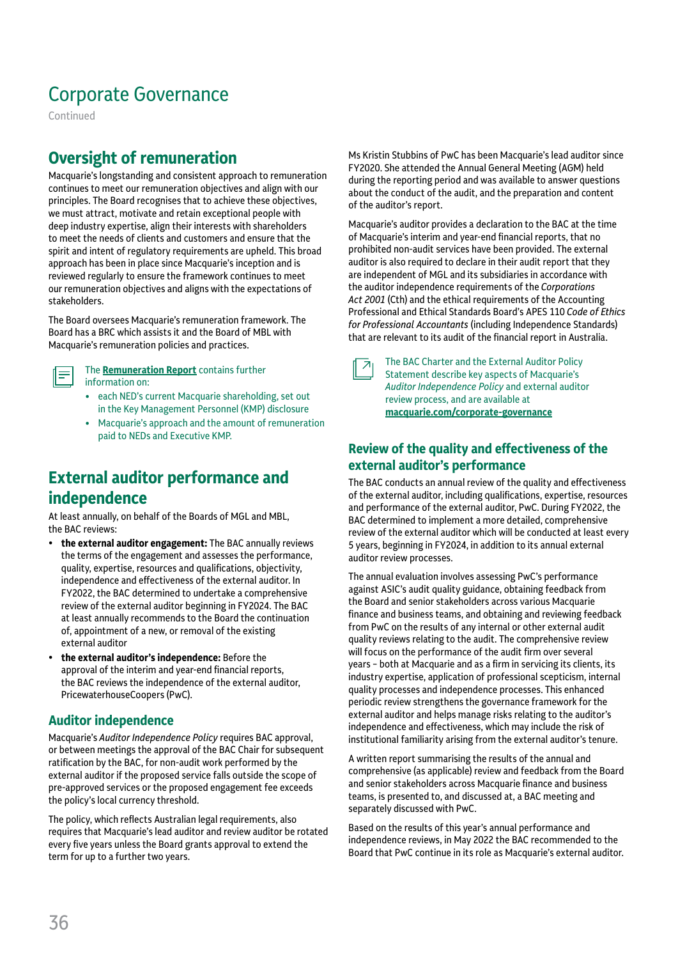Continued

# **Oversight of remuneration**

Macquarie's longstanding and consistent approach to remuneration continues to meet our remuneration objectives and align with our principles. The Board recognises that to achieve these objectives, we must attract, motivate and retain exceptional people with deep industry expertise, align their interests with shareholders to meet the needs of clients and customers and ensure that the spirit and intent of regulatory requirements are upheld. This broad approach has been in place since Macquarie's inception and is reviewed regularly to ensure the framework continues to meet our remuneration objectives and aligns with the expectations of stakeholders.

The Board oversees Macquarie's remuneration framework. The Board has a BRC which assists it and the Board of MBL with Macquarie's remuneration policies and practices.



The **[Remuneration Report](#page--1-4)** contains further information on:

- each NED's current Macquarie shareholding, set out in the Key Management Personnel (KMP) disclosure
- Macquarie's approach and the amount of remuneration paid to NEDs and Executive KMP.

## **External auditor performance and independence**

At least annually, on behalf of the Boards of MGL and MBL, the BAC reviews:

- **the external auditor engagement:** The BAC annually reviews the terms of the engagement and assesses the performance, quality, expertise, resources and qualifications, objectivity, independence and effectiveness of the external auditor. In FY2022, the BAC determined to undertake a comprehensive review of the external auditor beginning in FY2024. The BAC at least annually recommends to the Board the continuation of, appointment of a new, or removal of the existing external auditor
- **the external auditor's independence:** Before the approval of the interim and year-end financial reports, the BAC reviews the independence of the external auditor, PricewaterhouseCoopers (PwC).

### **Auditor independence**

Macquarie's *Auditor Independence Policy* requires BAC approval, or between meetings the approval of the BAC Chair for subsequent ratification by the BAC, for non-audit work performed by the external auditor if the proposed service falls outside the scope of pre-approved services or the proposed engagement fee exceeds the policy's local currency threshold.

The policy, which reflects Australian legal requirements, also requires that Macquarie's lead auditor and review auditor be rotated every five years unless the Board grants approval to extend the term for up to a further two years.

Ms Kristin Stubbins of PwC has been Macquarie's lead auditor since FY2020. She attended the Annual General Meeting (AGM) held during the reporting period and was available to answer questions about the conduct of the audit, and the preparation and content of the auditor's report.

Macquarie's auditor provides a declaration to the BAC at the time of Macquarie's interim and year-end financial reports, that no prohibited non-audit services have been provided. The external auditor is also required to declare in their audit report that they are independent of MGL and its subsidiaries in accordance with the auditor independence requirements of the *Corporations Act 2001* (Cth) and the ethical requirements of the Accounting Professional and Ethical Standards Board's APES 110 *Code of Ethics for Professional Accountants* (including Independence Standards) that are relevant to its audit of the financial report in Australia.



The BAC Charter and the External Auditor Policy Statement describe key aspects of Macquarie's Auditor Independence Policy and external auditor review process, and are available at **[macquarie.com/corporat](https://www.macquarie.com/about/company/corporate-governance.html)e-governance**

### **Review of the quality and effectiveness of the external auditor's performance**

The BAC conducts an annual review of the quality and effectiveness of the external auditor, including qualifications, expertise, resources and performance of the external auditor, PwC. During FY2022, the BAC determined to implement a more detailed, comprehensive review of the external auditor which will be conducted at least every 5 years, beginning in FY2024, in addition to its annual external auditor review processes.

The annual evaluation involves assessing PwC's performance against ASIC's audit quality guidance, obtaining feedback from the Board and senior stakeholders across various Macquarie finance and business teams, and obtaining and reviewing feedback from PwC on the results of any internal or other external audit quality reviews relating to the audit. The comprehensive review will focus on the performance of the audit firm over several years – both at Macquarie and as a firm in servicing its clients, its industry expertise, application of professional scepticism, internal quality processes and independence processes. This enhanced periodic review strengthens the governance framework for the external auditor and helps manage risks relating to the auditor's independence and effectiveness, which may include the risk of institutional familiarity arising from the external auditor's tenure.

A written report summarising the results of the annual and comprehensive (as applicable) review and feedback from the Board and senior stakeholders across Macquarie finance and business teams, is presented to, and discussed at, a BAC meeting and separately discussed with PwC.

Based on the results of this year's annual performance and independence reviews, in May 2022 the BAC recommended to the Board that PwC continue in its role as Macquarie's external auditor.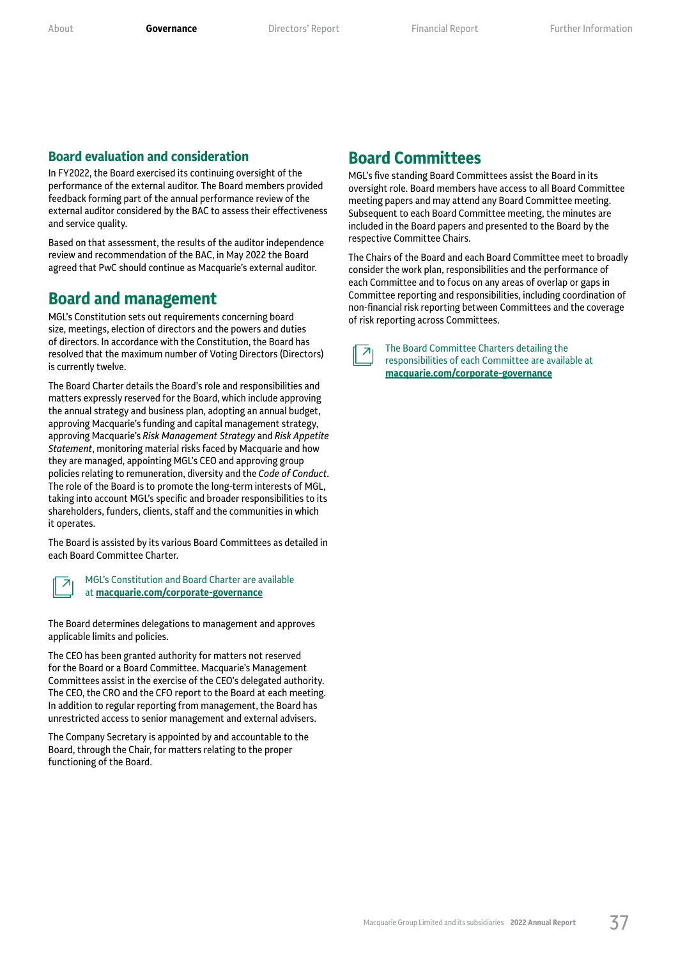#### **Board evaluation and consideration**

In FY2022, the Board exercised its continuing oversight of the performance of the external auditor. The Board members provided feedback forming part of the annual performance review of the external auditor considered by the BAC to assess their effectiveness and service quality.

Based on that assessment, the results of the auditor independence review and recommendation of the BAC, in May 2022 the Board agreed that PwC should continue as Macquarie's external auditor.

### **Board and management**

MGL's Constitution sets out requirements concerning board size, meetings, election of directors and the powers and duties of directors. In accordance with the Constitution, the Board has resolved that the maximum number of Voting Directors (Directors) is currently twelve.

The Board Charter details the Board's role and responsibilities and matters expressly reserved for the Board, which include approving the annual strategy and business plan, adopting an annual budget, approving Macquarie's funding and capital management strategy, approving Macquarie's *Risk Management Strategy* and *Risk Appetite Statement*, monitoring material risks faced by Macquarie and how they are managed, appointing MGL's CEO and approving group policies relating to remuneration, diversity and the *Code of Conduct*. The role of the Board is to promote the long-term interests of MGL, taking into account MGL's specific and broader responsibilities to its shareholders, funders, clients, staff and the communities in which it operates.

The Board is assisted by its various Board Committees as detailed in each Board Committee Charter.



MGL's Constitution and Board Charter are available at **[macquarie.com/corporat](https://www.macquarie.com/about/company/corporate-governance.html)e-governance**

The Board determines delegations to management and approves applicable limits and policies.

The CEO has been granted authority for matters not reserved for the Board or a Board Committee. Macquarie's Management Committees assist in the exercise of the CEO's delegated authority. The CEO, the CRO and the CFO report to the Board at each meeting. In addition to regular reporting from management, the Board has unrestricted access to senior management and external advisers.

The Company Secretary is appointed by and accountable to the Board, through the Chair, for matters relating to the proper functioning of the Board.

### **Board Committees**

MGL's five standing Board Committees assist the Board in its oversight role. Board members have access to all Board Committee meeting papers and may attend any Board Committee meeting. Subsequent to each Board Committee meeting, the minutes are included in the Board papers and presented to the Board by the respective Committee Chairs.

The Chairs of the Board and each Board Committee meet to broadly consider the work plan, responsibilities and the performance of each Committee and to focus on any areas of overlap or gaps in Committee reporting and responsibilities, including coordination of non‑financial risk reporting between Committees and the coverage of risk reporting across Committees.

The Board Committee Charters detailing the responsibilities of each Committee are available at **[macquarie.com/corporat](https://www.macquarie.com/about/company/corporate-governance.html)e-governance**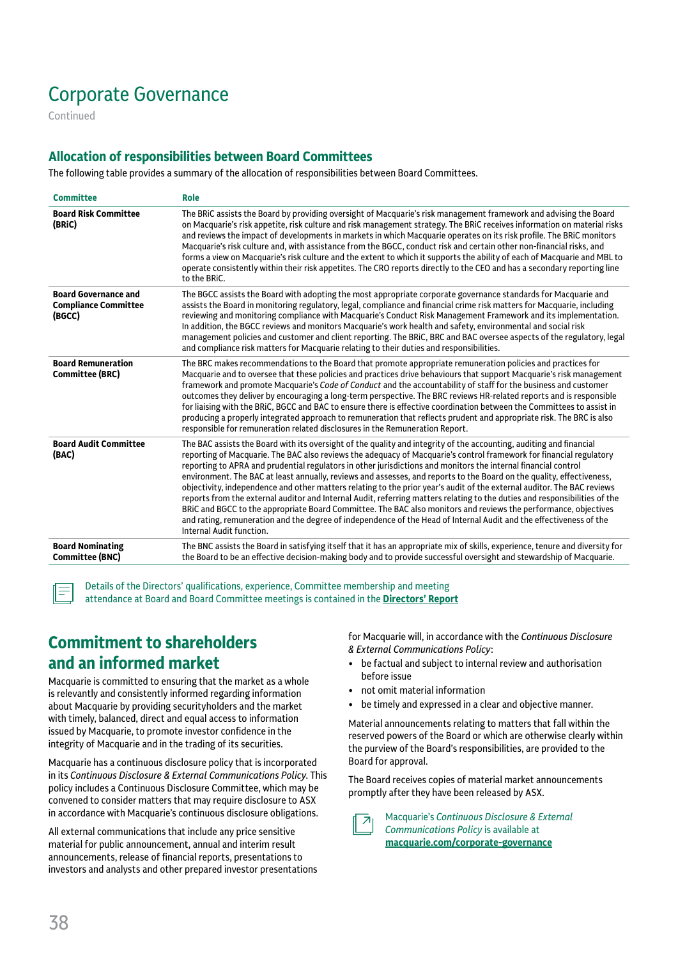Continued

### **Allocation of responsibilities between Board Committees**

The following table provides a summary of the allocation of responsibilities between Board Committees.

| <b>Committee</b>                                                     | Role                                                                                                                                                                                                                                                                                                                                                                                                                                                                                                                                                                                                                                                                                                                                                                                                                                                                                                                                                                                                                |
|----------------------------------------------------------------------|---------------------------------------------------------------------------------------------------------------------------------------------------------------------------------------------------------------------------------------------------------------------------------------------------------------------------------------------------------------------------------------------------------------------------------------------------------------------------------------------------------------------------------------------------------------------------------------------------------------------------------------------------------------------------------------------------------------------------------------------------------------------------------------------------------------------------------------------------------------------------------------------------------------------------------------------------------------------------------------------------------------------|
| <b>Board Risk Committee</b><br>(BRIC)                                | The BRIC assists the Board by providing oversight of Macquarie's risk management framework and advising the Board<br>on Macquarie's risk appetite, risk culture and risk management strategy. The BRIC receives information on material risks<br>and reviews the impact of developments in markets in which Macquarie operates on its risk profile. The BRIC monitors<br>Macquarie's risk culture and, with assistance from the BGCC, conduct risk and certain other non-financial risks, and<br>forms a view on Macquarie's risk culture and the extent to which it supports the ability of each of Macquarie and MBL to<br>operate consistently within their risk appetites. The CRO reports directly to the CEO and has a secondary reporting line<br>to the BRIC.                                                                                                                                                                                                                                               |
| <b>Board Governance and</b><br><b>Compliance Committee</b><br>(BGCC) | The BGCC assists the Board with adopting the most appropriate corporate governance standards for Macquarie and<br>assists the Board in monitoring regulatory, legal, compliance and financial crime risk matters for Macquarie, including<br>reviewing and monitoring compliance with Macquarie's Conduct Risk Management Framework and its implementation.<br>In addition, the BGCC reviews and monitors Macquarie's work health and safety, environmental and social risk<br>management policies and customer and client reporting. The BRIC, BRC and BAC oversee aspects of the regulatory, legal<br>and compliance risk matters for Macquarie relating to their duties and responsibilities.                                                                                                                                                                                                                                                                                                                    |
| <b>Board Remuneration</b><br>Committee (BRC)                         | The BRC makes recommendations to the Board that promote appropriate remuneration policies and practices for<br>Macquarie and to oversee that these policies and practices drive behaviours that support Macquarie's risk management<br>framework and promote Macquarie's Code of Conduct and the accountability of staff for the business and customer<br>outcomes they deliver by encouraging a long-term perspective. The BRC reviews HR-related reports and is responsible<br>for liaising with the BRIC, BGCC and BAC to ensure there is effective coordination between the Committees to assist in<br>producing a properly integrated approach to remuneration that reflects prudent and appropriate risk. The BRC is also<br>responsible for remuneration related disclosures in the Remuneration Report.                                                                                                                                                                                                     |
| <b>Board Audit Committee</b><br>(BAC)                                | The BAC assists the Board with its oversight of the quality and integrity of the accounting, auditing and financial<br>reporting of Macquarie. The BAC also reviews the adequacy of Macquarie's control framework for financial regulatory<br>reporting to APRA and prudential regulators in other jurisdictions and monitors the internal financial control<br>environment. The BAC at least annually, reviews and assesses, and reports to the Board on the quality, effectiveness,<br>objectivity, independence and other matters relating to the prior year's audit of the external auditor. The BAC reviews<br>reports from the external auditor and Internal Audit, referring matters relating to the duties and responsibilities of the<br>BRIC and BGCC to the appropriate Board Committee. The BAC also monitors and reviews the performance, objectives<br>and rating, remuneration and the degree of independence of the Head of Internal Audit and the effectiveness of the<br>Internal Audit function. |
| <b>Board Nominating</b><br>Committee (BNC)                           | The BNC assists the Board in satisfying itself that it has an appropriate mix of skills, experience, tenure and diversity for<br>the Board to be an effective decision-making body and to provide successful oversight and stewardship of Macquarie.                                                                                                                                                                                                                                                                                                                                                                                                                                                                                                                                                                                                                                                                                                                                                                |

Details of the Directors' qualifications, experience, Committee membership and meeting attendance at Board and Board Committee meetings is contained in the **[Directors' Report](#page--1-0)**

## **Commitment to shareholders and an informed market**

Macquarie is committed to ensuring that the market as a whole is relevantly and consistently informed regarding information about Macquarie by providing securityholders and the market with timely, balanced, direct and equal access to information issued by Macquarie, to promote investor confidence in the integrity of Macquarie and in the trading of its securities.

Macquarie has a continuous disclosure policy that is incorporated in its *Continuous Disclosure & External Communications Policy*. This policy includes a Continuous Disclosure Committee, which may be convened to consider matters that may require disclosure to ASX in accordance with Macquarie's continuous disclosure obligations.

All external communications that include any price sensitive material for public announcement, annual and interim result announcements, release of financial reports, presentations to investors and analysts and other prepared investor presentations for Macquarie will, in accordance with the *Continuous Disclosure*  & External Communications Policy:

- be factual and subject to internal review and authorisation before issue
- not omit material information
- be timely and expressed in a clear and objective manner.

Material announcements relating to matters that fall within the reserved powers of the Board or which are otherwise clearly within the purview of the Board's responsibilities, are provided to the Board for approval.

The Board receives copies of material market announcements promptly after they have been released by ASX.

Macquarie's *Continuous Disclosure & External Communications Policy* is available at **[macquarie.com/corporat](https://www.macquarie.com/about/company/corporate-governance.html)e-governance**